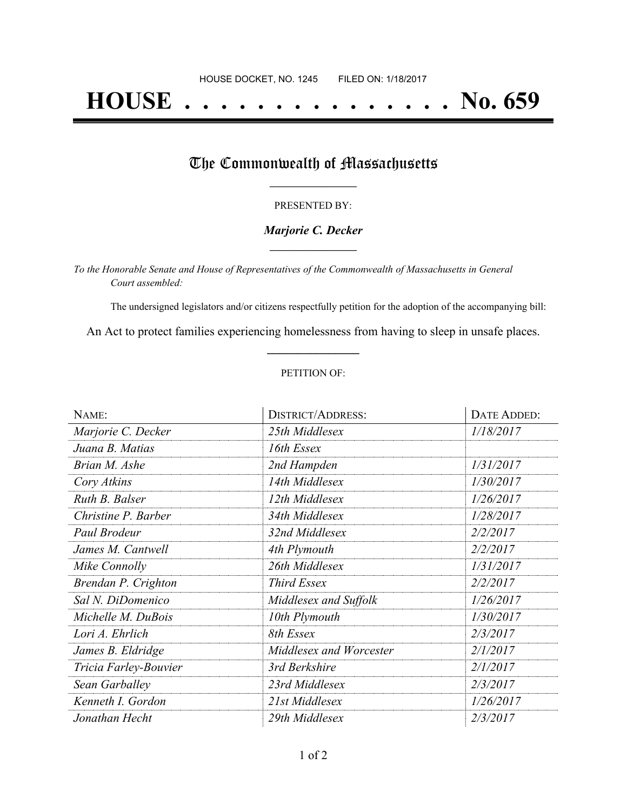# **HOUSE . . . . . . . . . . . . . . . No. 659**

### The Commonwealth of Massachusetts

#### PRESENTED BY:

#### *Marjorie C. Decker* **\_\_\_\_\_\_\_\_\_\_\_\_\_\_\_\_\_**

*To the Honorable Senate and House of Representatives of the Commonwealth of Massachusetts in General Court assembled:*

The undersigned legislators and/or citizens respectfully petition for the adoption of the accompanying bill:

An Act to protect families experiencing homelessness from having to sleep in unsafe places. **\_\_\_\_\_\_\_\_\_\_\_\_\_\_\_**

#### PETITION OF:

| NAME:                 | <b>DISTRICT/ADDRESS:</b> | DATE ADDED: |
|-----------------------|--------------------------|-------------|
| Marjorie C. Decker    | 25th Middlesex           | 1/18/2017   |
| Juana B. Matias       | 16th Essex               |             |
| Brian M. Ashe         | 2nd Hampden              | 1/31/2017   |
| Cory Atkins           | 14th Middlesex           | 1/30/2017   |
| Ruth B. Balser        | 12th Middlesex           | 1/26/2017   |
| Christine P. Barber   | 34th Middlesex           | 1/28/2017   |
| Paul Brodeur          | 32nd Middlesex           | 2/2/2017    |
| James M. Cantwell     | 4th Plymouth             | 2/2/2017    |
| Mike Connolly         | 26th Middlesex           | 1/31/2017   |
| Brendan P. Crighton   | Third Essex              | 2/2/2017    |
| Sal N. DiDomenico     | Middlesex and Suffolk    | 1/26/2017   |
| Michelle M. DuBois    | 10th Plymouth            | 1/30/2017   |
| Lori A. Ehrlich       | 8th Essex                | 2/3/2017    |
| James B. Eldridge     | Middlesex and Worcester  | 2/1/2017    |
| Tricia Farley-Bouvier | 3rd Berkshire            | 2/1/2017    |
| Sean Garballey        | 23rd Middlesex           | 2/3/2017    |
| Kenneth I. Gordon     | 21st Middlesex           | 1/26/2017   |
| Jonathan Hecht        | 29th Middlesex           | 2/3/2017    |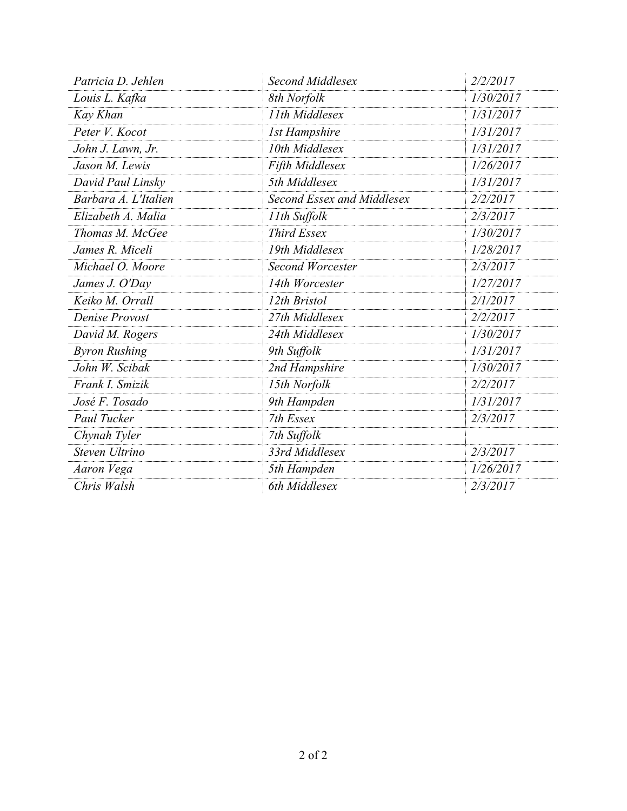| Patricia D. Jehlen   | <b>Second Middlesex</b>    | 2/2/2017  |
|----------------------|----------------------------|-----------|
| Louis L. Kafka       | 8th Norfolk                | 1/30/2017 |
| Kay Khan             | 11th Middlesex             | 1/31/2017 |
| Peter V. Kocot       | <b>1st Hampshire</b>       | 1/31/2017 |
| John J. Lawn, Jr.    | 10th Middlesex             | 1/31/2017 |
| Jason M. Lewis       | Fifth Middlesex            | 1/26/2017 |
| David Paul Linsky    | 5th Middlesex              | 1/31/2017 |
| Barbara A. L'Italien | Second Essex and Middlesex | 2/2/2017  |
| Elizabeth A. Malia   | 11th Suffolk               | 2/3/2017  |
| Thomas M. McGee      | <b>Third Essex</b>         | 1/30/2017 |
| James R. Miceli      | 19th Middlesex             | 1/28/2017 |
| Michael O. Moore     | <b>Second Worcester</b>    | 2/3/2017  |
| James J. O'Day       | 14th Worcester             | 1/27/2017 |
| Keiko M. Orrall      | 12th Bristol               | 2/1/2017  |
| Denise Provost       | 27th Middlesex             | 2/2/2017  |
| David M. Rogers      | 24th Middlesex             | 1/30/2017 |
| <b>Byron Rushing</b> | 9th Suffolk                | 1/31/2017 |
| John W. Scibak       | 2nd Hampshire              | 1/30/2017 |
| Frank I. Smizik      | 15th Norfolk               | 2/2/2017  |
| José F. Tosado       | 9th Hampden                | 1/31/2017 |
| Paul Tucker          | 7th Essex                  | 2/3/2017  |
| Chynah Tyler         | 7th Suffolk                |           |
| Steven Ultrino       | 33rd Middlesex             | 2/3/2017  |
| Aaron Vega           | 5th Hampden                | 1/26/2017 |
| Chris Walsh          | 6th Middlesex              | 2/3/2017  |